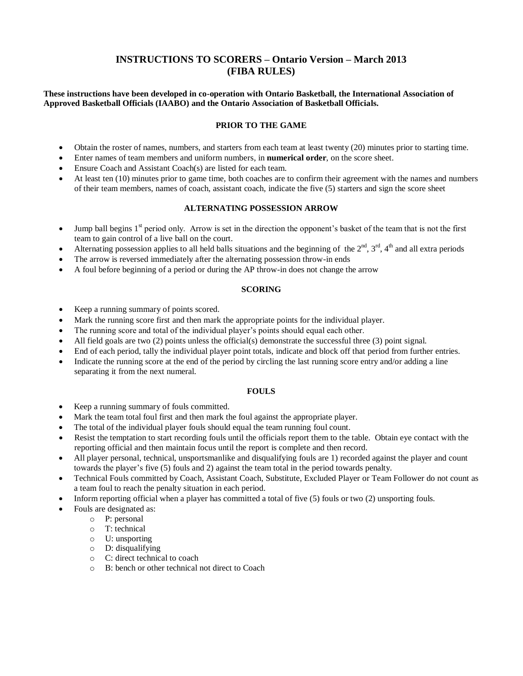# **INSTRUCTIONS TO SCORERS – Ontario Version – March 2013 (FIBA RULES)**

**These instructions have been developed in co-operation with Ontario Basketball, the International Association of Approved Basketball Officials (IAABO) and the Ontario Association of Basketball Officials.**

## **PRIOR TO THE GAME**

- Obtain the roster of names, numbers, and starters from each team at least twenty (20) minutes prior to starting time.
- Enter names of team members and uniform numbers, in **numerical order**, on the score sheet.
- Ensure Coach and Assistant Coach(s) are listed for each team.
- At least ten (10) minutes prior to game time, both coaches are to confirm their agreement with the names and numbers of their team members, names of coach, assistant coach, indicate the five (5) starters and sign the score sheet

## **ALTERNATING POSSESSION ARROW**

- $\bullet$  Jump ball begins 1<sup>st</sup> period only. Arrow is set in the direction the opponent's basket of the team that is not the first team to gain control of a live ball on the court.
- Alternating possession applies to all held balls situations and the beginning of the  $2^{nd}$ ,  $3^{rd}$ ,  $4^{th}$  and all extra periods
- The arrow is reversed immediately after the alternating possession throw-in ends
- A foul before beginning of a period or during the AP throw-in does not change the arrow

### **SCORING**

- Keep a running summary of points scored.
- Mark the running score first and then mark the appropriate points for the individual player.
- The running score and total of the individual player's points should equal each other.
- All field goals are two (2) points unless the official(s) demonstrate the successful three (3) point signal.
- End of each period, tally the individual player point totals, indicate and block off that period from further entries.
- Indicate the running score at the end of the period by circling the last running score entry and/or adding a line separating it from the next numeral.

#### **FOULS**

- Keep a running summary of fouls committed.
- Mark the team total foul first and then mark the foul against the appropriate player.
- The total of the individual player fouls should equal the team running foul count.
- Resist the temptation to start recording fouls until the officials report them to the table. Obtain eye contact with the reporting official and then maintain focus until the report is complete and then record.
- All player personal, technical, unsportsmanlike and disqualifying fouls are 1) recorded against the player and count towards the player's five (5) fouls and 2) against the team total in the period towards penalty.
- Technical Fouls committed by Coach, Assistant Coach, Substitute, Excluded Player or Team Follower do not count as a team foul to reach the penalty situation in each period.
- Inform reporting official when a player has committed a total of five (5) fouls or two (2) unsporting fouls.
- Fouls are designated as:
	- o P: personal
	- o T: technical
	- o U: unsporting
	- o D: disqualifying
	- o C: direct technical to coach
	- o B: bench or other technical not direct to Coach